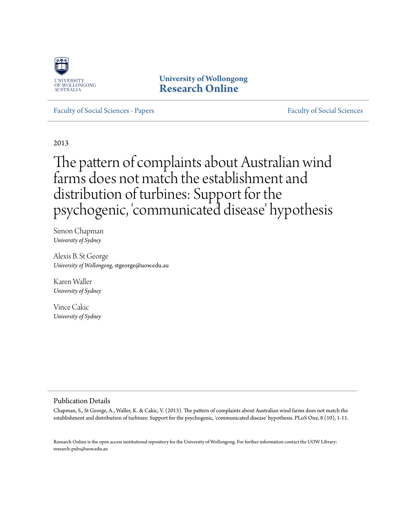

**University of Wollongong [Research Online](http://ro.uow.edu.au)**

[Faculty of Social Sciences - Papers](http://ro.uow.edu.au/sspapers) [Faculty of Social Sciences](http://ro.uow.edu.au/ss) - Papers Faculty of Social Sciences

2013

# The pattern of complaints about Australian wind farms does not match the establishment and distribution of turbines: Support for the psychogenic, 'communicated disease' hypothesis

Simon Chapman *University of Sydney*

Alexis B. St George *University of Wollongong*, stgeorge@uow.edu.au

Karen Waller *University of Sydney*

Vince Cakic *University of Sydney*

## Publication Details

Chapman, S., St George, A., Waller, K. & Cakic, V. (2013). The pattern of complaints about Australian wind farms does not match the establishment and distribution of turbines: Support for the psychogenic, 'communicated disease' hypothesis. PLoS One, 8 (10), 1-11.

Research Online is the open access institutional repository for the University of Wollongong. For further information contact the UOW Library: research-pubs@uow.edu.au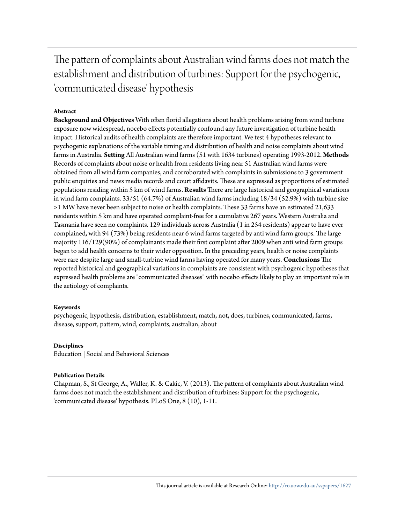The pattern of complaints about Australian wind farms does not match the establishment and distribution of turbines: Support for the psychogenic, 'communicated disease' hypothesis

## **Abstract**

**Background and Objectives** With often florid allegations about health problems arising from wind turbine exposure now widespread, nocebo effects potentially confound any future investigation of turbine health impact. Historical audits of health complaints are therefore important. We test 4 hypotheses relevant to psychogenic explanations of the variable timing and distribution of health and noise complaints about wind farms in Australia. **Setting** All Australian wind farms (51 with 1634 turbines) operating 1993-2012. **Methods** Records of complaints about noise or health from residents living near 51 Australian wind farms were obtained from all wind farm companies, and corroborated with complaints in submissions to 3 government public enquiries and news media records and court affidavits. These are expressed as proportions of estimated populations residing within 5 km of wind farms. **Results** There are large historical and geographical variations in wind farm complaints. 33/51 (64.7%) of Australian wind farms including 18/34 (52.9%) with turbine size >1 MW have never been subject to noise or health complaints. These 33 farms have an estimated 21,633 residents within 5 km and have operated complaint-free for a cumulative 267 years. Western Australia and Tasmania have seen no complaints. 129 individuals across Australia (1 in 254 residents) appear to have ever complained, with 94 (73%) being residents near 6 wind farms targeted by anti wind farm groups. The large majority 116/129(90%) of complainants made their first complaint after 2009 when anti wind farm groups began to add health concerns to their wider opposition. In the preceding years, health or noise complaints were rare despite large and small-turbine wind farms having operated for many years. **Conclusions** The reported historical and geographical variations in complaints are consistent with psychogenic hypotheses that expressed health problems are "communicated diseases" with nocebo effects likely to play an important role in the aetiology of complaints.

## **Keywords**

psychogenic, hypothesis, distribution, establishment, match, not, does, turbines, communicated, farms, disease, support, pattern, wind, complaints, australian, about

#### **Disciplines**

Education | Social and Behavioral Sciences

## **Publication Details**

Chapman, S., St George, A., Waller, K. & Cakic, V. (2013). The pattern of complaints about Australian wind farms does not match the establishment and distribution of turbines: Support for the psychogenic, 'communicated disease' hypothesis. PLoS One, 8 (10), 1-11.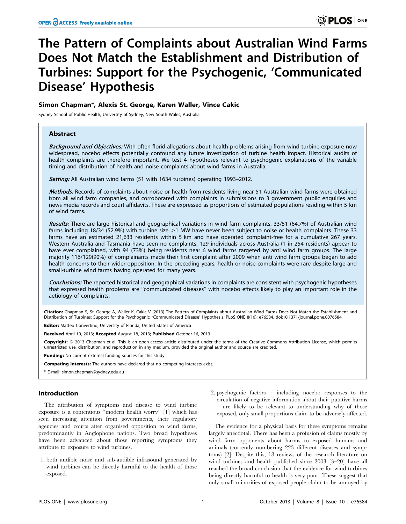## The Pattern of Complaints about Australian Wind Farms Does Not Match the Establishment and Distribution of Turbines: Support for the Psychogenic, 'Communicated Disease' Hypothesis

## Simon Chapman\*, Alexis St. George, Karen Waller, Vince Cakic

Sydney School of Public Health, University of Sydney, New South Wales, Australia

#### Abstract

Background and Objectives: With often florid allegations about health problems arising from wind turbine exposure now widespread, nocebo effects potentially confound any future investigation of turbine health impact. Historical audits of health complaints are therefore important. We test 4 hypotheses relevant to psychogenic explanations of the variable timing and distribution of health and noise complaints about wind farms in Australia.

Setting: All Australian wind farms (51 with 1634 turbines) operating 1993-2012.

Methods: Records of complaints about noise or health from residents living near 51 Australian wind farms were obtained from all wind farm companies, and corroborated with complaints in submissions to 3 government public enquiries and news media records and court affidavits. These are expressed as proportions of estimated populations residing within 5 km of wind farms.

Results: There are large historical and geographical variations in wind farm complaints. 33/51 (64.7%) of Australian wind farms including 18/34 (52.9%) with turbine size  $>1$  MW have never been subject to noise or health complaints. These 33 farms have an estimated 21,633 residents within 5 km and have operated complaint-free for a cumulative 267 years. Western Australia and Tasmania have seen no complaints. 129 individuals across Australia (1 in 254 residents) appear to have ever complained, with 94 (73%) being residents near 6 wind farms targeted by anti wind farm groups. The large majority 116/129(90%) of complainants made their first complaint after 2009 when anti wind farm groups began to add health concerns to their wider opposition. In the preceding years, health or noise complaints were rare despite large and small-turbine wind farms having operated for many years.

Conclusions: The reported historical and geographical variations in complaints are consistent with psychogenic hypotheses that expressed health problems are ''communicated diseases'' with nocebo effects likely to play an important role in the aetiology of complaints.

Citation: Chapman S, St. George A, Waller K, Cakic V (2013) The Pattern of Complaints about Australian Wind Farms Does Not Match the Establishment and Distribution of Turbines: Support for the Psychogenic, 'Communicated Disease' Hypothesis. PLoS ONE 8(10): e76584. doi:10.1371/journal.pone.0076584

Editor: Matteo Convertino, University of Florida, United States of America

Received April 10, 2013; Accepted August 18, 2013; Published October 16, 2013

Copyright: © 2013 Chapman et al. This is an open-access article distributed under the terms of the Creative Commons Attribution License, which permits unrestricted use, distribution, and reproduction in any medium, provided the original author and source are credited.

Funding: No current external funding sources for this study.

Competing Interests: The authors have declared that no competing interests exist.

\* E-mail: simon.chapman@sydney.edu.au

#### Introduction

The attribution of symptoms and disease to wind turbine exposure is a contentious ''modern health worry'' [1] which has seen increasing attention from governments, their regulatory agencies and courts after organised opposition to wind farms, predominantly in Anglophone nations. Two broad hypotheses have been advanced about those reporting symptoms they attribute to exposure to wind turbines.

- 1. both audible noise and sub-audible infrasound generated by wind turbines can be directly harmful to the health of those exposed.
- 2. psychogenic factors including nocebo responses to the circulation of negative information about their putative harms – are likely to be relevant to understanding why of those exposed, only small proportions claim to be adversely affected.

The evidence for a physical basis for these symptoms remains largely anecdotal. There has been a profusion of claims mostly by wind farm opponents about harms to exposed humans and animals (currently numbering 223 different diseases and symptoms) [2]. Despite this, 18 reviews of the research literature on wind turbines and health published since 2003 [3–20] have all reached the broad conclusion that the evidence for wind turbines being directly harmful to health is very poor. These suggest that only small minorities of exposed people claim to be annoyed by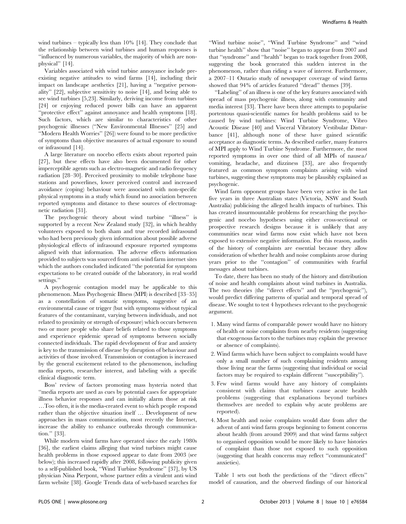wind turbines – typically less than 10% [14]. They conclude that the relationship between wind turbines and human responses is ''influenced by numerous variables, the majority of which are nonphysical'' [14].

Variables associated with wind turbine annoyance include preexisting negative attitudes to wind farms [14], including their impact on landscape aesthetics [21], having a ''negative personality'' [22], subjective sensitivity to noise [14], and being able to see wind turbines [5,23]. Similarly, deriving income from turbines [24] or enjoying reduced power bills can have an apparent ''protective effect'' against annoyance and health symptoms [18]. Such factors, which are similar to characteristics of other psychogenic illnesses (''New Environmental Illnesses'' [25] and ''Modern Health Worries'' [26]) were found to be more predictive of symptoms than objective measures of actual exposure to sound or infrasound [14].

A large literature on nocebo effects exists about reported pain [27], but these effects have also been documented for other imperceptible agents such as electro-magnetic and radio frequency radiation [28–30]. Perceived proximity to mobile telephone base stations and powerlines, lower perceived control and increased avoidance (coping) behaviour were associated with non-specific physical symptoms in a study which found no association between reported symptoms and distance to these sources of electromagnetic radiation [31].

The psychogenic theory about wind turbine ''illness'' is supported by a recent New Zealand study [32], in which healthy volunteers exposed to both sham and true recorded infrasound who had been previously given information about possible adverse physiological effects of infrasound exposure reported symptoms aligned with that information. The adverse effects information provided to subjects was sourced from anti wind farm internet sites which the authors concluded indicated ''the potential for symptom expectations to be created outside of the laboratory, in real world settings.''

A psychogenic contagion model may be applicable to this phenomenon. Mass Psychogenic Illness (MPI) is described [33–35] as a constellation of somatic symptoms, suggestive of an environmental cause or trigger (but with symptoms without typical features of the contaminant, varying between individuals, and not related to proximity or strength of exposure) which occurs between two or more people who share beliefs related to those symptoms and experience epidemic spread of symptoms between socially connected individuals. The rapid development of fear and anxiety is key to the transmission of disease by disruption of behaviour and activities of those involved. Transmission or contagion is increased by the general excitement related to the phenomenon, including media reports, researcher interest, and labeling with a specific clinical diagnostic term.

Boss' review of factors promoting mass hysteria noted that ''media reports are used as cues by potential cases for appropriate illness behavior responses and can initially alarm those at risk …Too often, it is the media-created event to which people respond rather than the objective situation itself … Development of new approaches in mass communication, most recently the Internet, increase the ability to enhance outbreaks through communication.'' [33].

While modern wind farms have operated since the early 1980s [36], the earliest claims alleging that wind turbines might cause health problems in those exposed appear to date from 2003 (see below); this increased rapidly after 2008, following publicity given to a self-published book, ''Wind Turbine Syndrome'' [37], by US physician Nina Pierpont, whose partner edits a virulent anti wind farm website [38]. Google Trends data of web-based searches for

''Wind turbine noise'', ''Wind Turbine Syndrome'' and ''wind turbine health'' show that ''noise'' began to appear from 2007 and that ''syndrome'' and ''health'' began to track together from 2008, suggesting the book generated this sudden interest in the phenomenon, rather than riding a wave of interest. Furthermore, a 2007–11 Ontario study of newspaper coverage of wind farms showed that 94% of articles featured ''dread'' themes [39].

''Labeling'' of an illness is one of the key features associated with spread of mass psychogenic illness, along with community and media interest [33]. There have been three attempts to popularise portentous quasi-scientific names for health problems said to be caused by wind turbines: Wind Turbine Syndrome, Vibro Acoustic Disease [40] and Visceral Vibratory Vestibular Disturbance [41], although none of these have gained scientific acceptance as diagnostic terms. As described earlier, many features of MPI apply to Wind Turbine Syndrome. Furthermore, the most reported symptoms in over one third of all MPIs of nausea/ vomiting, headache, and dizziness [33], are also frequently featured as common symptom complaints arising with wind turbines, suggesting these symptoms may be plausibly explained as psychogenic.

Wind farm opponent groups have been very active in the last five years in three Australian states (Victoria, NSW and South Australia) publicising the alleged health impacts of turbines. This has created insurmountable problems for researching the psychogenic and nocebo hypotheses using either cross-sectional or prospective research designs because it is unlikely that any communities near wind farms now exist which have not been exposed to extensive negative information. For this reason, audits of the history of complaints are essential because they allow consideration of whether health and noise complaints arose during years prior to the ''contagion'' of communities with fearful messages about turbines.

To date, there has been no study of the history and distribution of noise and health complaints about wind turbines in Australia. The two theories (the ''direct effects'' and the ''psychogenic''), would predict differing patterns of spatial and temporal spread of disease. We sought to test 4 hypotheses relevant to the psychogenic argument.

- 1. Many wind farms of comparable power would have no history of health or noise complaints from nearby residents (suggesting that exogenous factors to the turbines may explain the presence or absence of complaints).
- 2. Wind farms which have been subject to complaints would have only a small number of such complaining residents among those living near the farms (suggesting that individual or social factors may be required to explain different ''susceptibility'').
- 3. Few wind farms would have any history of complaints consistent with claims that turbines cause acute health problems (suggesting that explanations beyond turbines themselves are needed to explain why acute problems are reported).
- 4. Most health and noise complaints would date from after the advent of anti wind farm groups beginning to foment concerns about health (from around 2009) and that wind farms subject to organised opposition would be more likely to have histories of complaint than those not exposed to such opposition (suggesting that health concerns may reflect ''communicated'' anxieties).

Table 1 sets out both the predictions of the ''direct effects'' model of causation, and the observed findings of our historical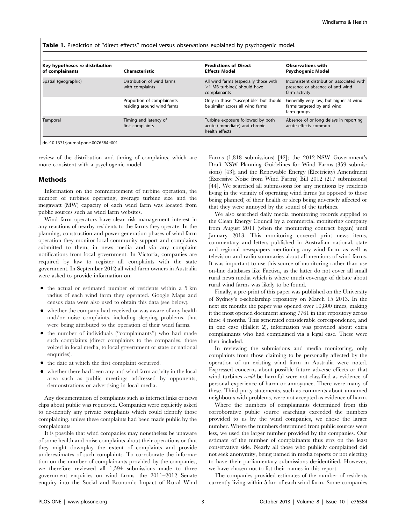Table 1. Prediction of "direct effects" model versus observations explained by psychogenic model.

| Key hypotheses re distribution<br>of complainants | Characteristic                                           | <b>Predictions of Direct</b><br><b>Effects Model</b>                                   | <b>Observations with</b><br><b>Psychogenic Model</b>                                           |
|---------------------------------------------------|----------------------------------------------------------|----------------------------------------------------------------------------------------|------------------------------------------------------------------------------------------------|
| Spatial (geographic)                              | Distribution of wind farms<br>with complaints            | All wind farms (especially those with<br>$>1$ MB turbines) should have<br>complainants | Inconsistent distribution associated with<br>presence or absence of anti wind<br>farm activity |
|                                                   | Proportion of complainants<br>residing around wind farms | Only in those "susceptible" but should<br>be similar across all wind farms             | Generally very low, but higher at wind<br>farms targeted by anti wind<br>farm groups           |
| Temporal                                          | Timing and latency of<br>first complaints                | Turbine exposure followed by both<br>acute (immediate) and chronic<br>health effects   | Absence of or long delays in reporting<br>acute effects common                                 |

doi:10.1371/journal.pone.0076584.t001

review of the distribution and timing of complaints, which are more consistent with a psychogenic model.

#### Methods

Information on the commencement of turbine operation, the number of turbines operating, average turbine size and the megawatt (MW) capacity of each wind farm was located from public sources such as wind farm websites.

Wind farm operators have clear risk management interest in any reactions of nearby residents to the farms they operate. In the planning, construction and power generation phases of wind farm operation they monitor local community support and complaints submitted to them, in news media and via any complaint notifications from local government. In Victoria, companies are required by law to register all complaints with the state government. In September 2012 all wind farm owners in Australia were asked to provide information on:

- $\bullet$  the actual or estimated number of residents within a 5 km radius of each wind farm they operated. Google Maps and census data were also used to obtain this data (see below).
- $\bullet$  whether the company had received or was aware of any health and/or noise complaints, including sleeping problems, that were being attributed to the operation of their wind farms.
- the number of individuals ("complainants") who had made such complaints (direct complaints to the companies, those voiced in local media, to local government or state or national enquiries).
- $\bullet$  the date at which the first complaint occurred.
- $\bullet$  whether there had been any anti wind farm activity in the local area such as public meetings addressed by opponents, demonstrations or advertising in local media.

Any documentation of complaints such as internet links or news clips about public was requested. Companies were explicitly asked to de-identify any private complaints which could identify those complaining, unless these complaints had been made public by the complainants.

It is possible that wind companies may nonetheless be unaware of some health and noise complaints about their operations or that they might downplay the extent of complaints and provide underestimates of such complaints. To corroborate the information on the number of complainants provided by the companies, we therefore reviewed all 1,594 submissions made to three government enquiries on wind farms: the 2011–2012 Senate enquiry into the Social and Economic Impact of Rural Wind Farms (1,818 submissions) [42]; the 2012 NSW Government's Draft NSW Planning Guidelines for Wind Farms (359 submissions) [43]; and the Renewable Energy (Electricity) Amendment (Excessive Noise from Wind Farms) Bill 2012 (217 submissions) [44]. We searched all submissions for any mentions by residents living in the vicinity of operating wind farms (as opposed to those being planned) of their health or sleep being adversely affected or that they were annoyed by the sound of the turbines.

We also searched daily media monitoring records supplied to the Clean Energy Council by a commercial monitoring company from August 2011 (when the monitoring contract began) until January 2013. This monitoring covered print news items, commentary and letters published in Australian national, state and regional newspapers mentioning any wind farm, as well as television and radio summaries about all mentions of wind farms. It was important to use this source of monitoring rather than use on-line databases like Factiva, as the latter do not cover all small rural news media which is where much coverage of debate about rural wind farms was likely to be found.

Finally, a pre-print of this paper was published on the University of Sydney's e-scholarship repository on March 15 2013. In the next six months the paper was opened over 10,800 times, making it the most opened document among 7761 in that repository across these 4 months. This generated considerable correspondence, and in one case (Hallett 2), information was provided about extra complainants who had complained via a legal case. These were then included.

In reviewing the submissions and media monitoring, only complaints from those claiming to be personally affected by the operation of an existing wind farm in Australia were noted. Expressed concerns about possible future adverse effects or that wind turbines *could* be harmful were not classified as evidence of personal experience of harm or annoyance. There were many of these. Third party statements, such as comments about unnamed neighbours with problems, were not accepted as evidence of harm.

Where the numbers of complainants determined from this corroborative public source searching exceeded the numbers provided to us by the wind companies, we chose the larger number. Where the numbers determined from public sources were less, we used the larger number provided by the companies. Our estimate of the number of complainants thus errs on the least conservative side. Nearly all those who publicly complained did not seek anonymity, being named in media reports or not electing to have their parliamentary submissions de-identified. However, we have chosen not to list their names in this report.

The companies provided estimates of the number of residents currently living within 5 km of each wind farm. Some companies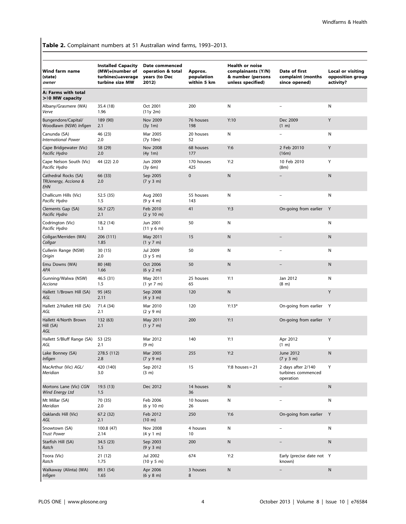Table 2. Complainant numbers at 51 Australian wind farms, 1993–2013.

| Wind farm name<br>(state)<br>owner                  | <b>Installed Capacity</b><br>(MW)+(number of<br>turbines)+average<br>turbine size MW | Date commenced<br>operation & total<br>years (to Dec<br>2012) | Approx.<br>population<br>within 5 km | <b>Health or noise</b><br>complainants (Y/N)<br>& number (persons<br>unless specified) | Date of first<br>complaint (months<br>since opened)   | <b>Local or visiting</b><br>opposition group<br>activity? |
|-----------------------------------------------------|--------------------------------------------------------------------------------------|---------------------------------------------------------------|--------------------------------------|----------------------------------------------------------------------------------------|-------------------------------------------------------|-----------------------------------------------------------|
| A: Farms with total<br>>10 MW capacity              |                                                                                      |                                                               |                                      |                                                                                        |                                                       |                                                           |
| Albany/Grasmere (WA)<br>Verve                       | 35.4 (18)<br>1.96                                                                    | Oct 2001<br>(11y 2m)                                          | 200                                  | N                                                                                      |                                                       | Ν                                                         |
| Bungendore/Capital/<br>Woodlawn (NSW) Infigen       | 189 (90)<br>2.1                                                                      | Nov 2009<br>(3y 1m)                                           | 76 houses<br>198                     | Y:10                                                                                   | Dec 2009<br>$(1 \text{ m})$                           | Y                                                         |
| Canunda (SA)<br><b>International Power</b>          | 46 (23)<br>2.0                                                                       | Mar 2005<br>(7y 10m)                                          | 20 houses<br>52                      | N                                                                                      |                                                       | Ν                                                         |
| Cape Bridgewater (Vic)<br>Pacific Hydro             | 58 (29)<br>2.0                                                                       | <b>Nov 2008</b><br>(4y 1m)                                    | 68 houses<br>177                     | Y:6                                                                                    | 2 Feb 20110<br>(16m)                                  | Y                                                         |
| Cape Nelson South (Vic)<br>Pacific Hydro            | 44 (22) 2.0                                                                          | Jun 2009<br>(3y 6m)                                           | 170 houses<br>425                    | Y:2                                                                                    | 10 Feb 2010<br>(8m)                                   | Y                                                         |
| Cathedral Rocks (SA)<br>TRUenergy, Acciona &<br>EHN | 66 (33)<br>2.0                                                                       | Sep 2005<br>(7 y 3 m)                                         | 0                                    | ${\sf N}$                                                                              |                                                       | ${\sf N}$                                                 |
| Challicum Hills (Vic)<br>Pacific Hydro              | 52.5 (35)<br>1.5                                                                     | Aug 2003<br>(9 y 4 m)                                         | 55 houses<br>143                     | N                                                                                      | $\overline{a}$                                        | N                                                         |
| Clements Gap (SA)<br>Pacific Hydro                  | 56.7 (27)<br>2.1                                                                     | Feb 2010<br>(2 y 10 m)                                        | 41                                   | Y:3                                                                                    | On-going from earlier                                 | Y                                                         |
| Codrington (Vic)<br>Pacific Hydro                   | 18.2 (14)<br>1.3                                                                     | Jun 2001<br>(11 y 6 m)                                        | 50                                   | N                                                                                      |                                                       | Ν                                                         |
| Collgar/Merriden (WA)<br>Collgar                    | 206 (111)<br>1.85                                                                    | May 2011<br>(1 y 7 m)                                         | 15                                   | ${\sf N}$                                                                              |                                                       | ${\sf N}$                                                 |
| Cullerin Range (NSW)<br>Origin                      | 30(15)<br>2.0                                                                        | Jul 2009<br>(3 y 5 m)                                         | 50                                   | Ν                                                                                      |                                                       | Ν                                                         |
| Emu Downs (WA)<br>APA                               | 80 (48)<br>1.66                                                                      | Oct 2006<br>(6 y 2 m)                                         | 50                                   | ${\sf N}$                                                                              |                                                       | ${\sf N}$                                                 |
| Gunning/Walwa (NSW)<br>Acciona                      | 46.5 (31)<br>1.5                                                                     | May 2011<br>$(1 \text{ yr } 7 \text{ m})$                     | 25 houses<br>65                      | Y:1                                                                                    | Jan 2012<br>(8 <sub>m</sub> )                         | Ν                                                         |
| Hallett 1/Brown Hill (SA)<br>AGL                    | 95 (45)<br>2.11                                                                      | Sep 2008<br>(4 y 3 m)                                         | 120                                  | ${\sf N}$                                                                              |                                                       | Y                                                         |
| Hallett 2/Hallett Hill (SA)<br>AGL                  | 71.4 (34)<br>2.1                                                                     | Mar 2010<br>(2 y 9 m)                                         | 120                                  | $Y:13*$                                                                                | On-going from earlier                                 | Y                                                         |
| Hallett 4/North Brown<br>Hill (SA)<br>AGL           | 132 (63)<br>2.1                                                                      | May 2011<br>(1 y 7 m)                                         | 200                                  | Y:1                                                                                    | On-going from earlier Y                               |                                                           |
| Hallett 5/Bluff Range (SA)<br>AGL                   | 53 (25)<br>2.1                                                                       | Mar 2012<br>$(9 \text{ m})$                                   | 140                                  | Y:1                                                                                    | Apr 2012<br>(1 m)                                     | Υ                                                         |
| Lake Bonney (SA)<br><b>Infigen</b>                  | 278.5 (112)<br>2.8                                                                   | Mar 2005<br>(7 y 9 m)                                         | 255                                  | Y:2                                                                                    | June 2012<br>(7 y 3 m)                                | ${\sf N}$                                                 |
| MacArthur (Vic) AGL/<br>Meridian                    | 420 (140)<br>3.0                                                                     | Sep 2012<br>(3 m)                                             | 15                                   | $Y:8$ houses = 21                                                                      | 2 days after 2/140<br>turbines commenced<br>operation | Υ                                                         |
| Mortons Lane (Vic) CGN<br>Wind Energy Ltd           | 19.5(13)<br>1.5                                                                      | Dec 2012                                                      | 14 houses<br>36                      | ${\sf N}$                                                                              |                                                       | ${\sf N}$                                                 |
| Mt Millar (SA)<br>Meridian                          | 70 (35)<br>2.0                                                                       | Feb 2006<br>(6 y 10 m)                                        | 10 houses<br>26                      | N                                                                                      |                                                       | N                                                         |
| Oaklands Hill (Vic)<br>AGL                          | 67.2 (32)<br>2.1                                                                     | Feb 2012<br>$(10 \; \text{m})$                                | 250                                  | Y:6                                                                                    | On-going from earlier Y                               |                                                           |
| Snowtown (SA)<br><b>Trust Power</b>                 | 100.8 (47)<br>2.14                                                                   | Nov 2008<br>(4 y 1 m)                                         | 4 houses<br>10                       | N                                                                                      |                                                       | N                                                         |
| Starfish Hill (SA)<br>Ratch                         | 34.5 (23)<br>1.5                                                                     | Sep 2003<br>(9 y 3 m)                                         | 200                                  | ${\sf N}$                                                                              |                                                       | ${\sf N}$                                                 |
| Toora (Vic)<br>Ratch                                | 21(12)<br>1.75                                                                       | Jul 2002<br>(10 y 5 m)                                        | 674                                  | Y:2                                                                                    | Early (precise date not Y<br>known)                   |                                                           |
| Walkaway (Alinta) (WA)<br><b>Infigen</b>            | 89.1 (54)<br>1.65                                                                    | Apr 2006<br>(6 y 8 m)                                         | 3 houses<br>8                        | N                                                                                      |                                                       | N                                                         |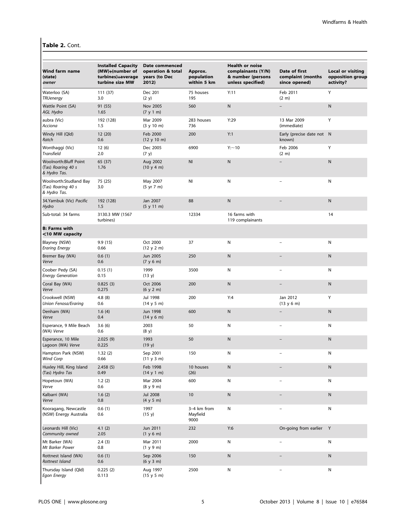## Table 2. Cont.

| <b>Wind farm name</b><br>(state)<br>owner                          | <b>Installed Capacity</b><br>(MW)+(number of<br>turbines)+average<br>turbine size MW | Date commenced<br>operation & total<br>years (to Dec<br>2012) | Approx.<br>population<br>within 5 km | <b>Health or noise</b><br>complainants (Y/N)<br>& number (persons<br>unless specified) | Date of first<br>complaint (months<br>since opened) | <b>Local or visiting</b><br>opposition group<br>activity? |
|--------------------------------------------------------------------|--------------------------------------------------------------------------------------|---------------------------------------------------------------|--------------------------------------|----------------------------------------------------------------------------------------|-----------------------------------------------------|-----------------------------------------------------------|
| Waterloo (SA)<br><b>TRUenergy</b>                                  | 111(37)<br>3.0                                                                       | Dec 201<br>(2 y)                                              | 75 houses<br>195                     | Y:11                                                                                   | Feb 2011<br>(2 m)                                   | Υ                                                         |
| Wattle Point (SA)<br>AGL Hydro                                     | 91 (55)<br>1.65                                                                      | Nov 2005<br>(7 y 1 m)                                         | 560                                  | ${\sf N}$                                                                              |                                                     | N                                                         |
| aubra (Vic)<br>Acciona                                             | 192 (128)<br>1.5                                                                     | Mar 2009<br>(3 y 10 m)                                        | 283 houses<br>736                    | Y:29                                                                                   | 13 Mar 2009<br>(immediate)                          | Υ                                                         |
| Windy Hill (Qld)<br>Ratch                                          | 12 (20)<br>0.6                                                                       | Feb 2000<br>(12 y 10 m)                                       | 200                                  | Y:1                                                                                    | Early (precise date not N<br>known)                 |                                                           |
| Wonthaggi (Vic)<br><b>Transfield</b>                               | 12(6)<br>2.0                                                                         | Dec 2005<br>(7 y)                                             | 6900                                 | Y:~10                                                                                  | Feb 2006<br>$(2 \text{ m})$                         | Υ                                                         |
| <b>Woolnorth:Bluff Point</b><br>(Tas) Roaring 40 s<br>& Hydro Tas. | 65 (37)<br>1.76                                                                      | Aug 2002<br>(10 y 4 m)                                        | NI                                   | N                                                                                      |                                                     | N                                                         |
| Woolnorth:Studland Bay<br>(Tas) Roaring 40 s<br>& Hydro Tas.       | 75 (25)<br>3.0                                                                       | May 2007<br>(5 yr 7 m)                                        | NI                                   | N                                                                                      |                                                     | N                                                         |
| 34.Yambuk (Vic) Pacific<br>Hydro                                   | 192 (128)<br>1.5                                                                     | Jan 2007<br>(5 y 11 m)                                        | 88                                   | ${\sf N}$                                                                              |                                                     | ${\sf N}$                                                 |
| Sub-total: 34 farms                                                | 3130.3 MW (1567<br>turbines)                                                         |                                                               | 12334                                | 16 farms with<br>119 complainants                                                      |                                                     | 14                                                        |
| <b>B: Farms with</b><br><10 MW capacity                            |                                                                                      |                                                               |                                      |                                                                                        |                                                     |                                                           |
| Blayney (NSW)<br><b>Eraring Energy</b>                             | 9.9 (15)<br>0.66                                                                     | Oct 2000<br>(12 y 2 m)                                        | 37                                   | N                                                                                      |                                                     | N                                                         |
| Bremer Bay (WA)<br>Verve                                           | 0.6(1)<br>0.6                                                                        | Jun 2005<br>(7 y 6 m)                                         | 250                                  | ${\sf N}$                                                                              |                                                     | ${\sf N}$                                                 |
| Coober Pedy (SA)<br><b>Energy Generation</b>                       | 0.15(1)<br>0.15                                                                      | 1999<br>(13 y)                                                | 3500                                 | N                                                                                      |                                                     | N                                                         |
| Coral Bay (WA)<br>Verve                                            | 0.825(3)<br>0.275                                                                    | Oct 2006<br>(6 y 2 m)                                         | 200                                  | ${\sf N}$                                                                              |                                                     | Ν                                                         |
| Crookwell (NSW)<br><b>Union Fenosa/Eraring</b>                     | 4.8(8)<br>0.6                                                                        | Jul 1998<br>(14 y 5 m)                                        | 200                                  | Y:4                                                                                    | Jan 2012<br>(13 y 6 m)                              | Υ                                                         |
| Denham (WA)<br>Verve                                               | 1.6(4)<br>0.4                                                                        | Jun 1998<br>(14 y 6 m)                                        | 600                                  | ${\sf N}$                                                                              |                                                     | ${\sf N}$                                                 |
| Esperance, 9 Mile Beach<br>(WA) Verve                              | 3.6(6)<br>0.6                                                                        | 2003<br>(8 y)                                                 | 50                                   | N                                                                                      |                                                     | N                                                         |
| Esperance, 10 Mile<br>Lagoon (WA) Verve                            | 2.025(9)<br>0.225                                                                    | 1993<br>(19 y)                                                | 50                                   | ${\sf N}$                                                                              |                                                     | Ν                                                         |
| Hampton Park (NSW)<br>Wind Corp                                    | 1.32(2)<br>0.66                                                                      | Sep 2001<br>(11 y 3 m)                                        | 150                                  | N                                                                                      |                                                     | Ν                                                         |
| Huxley Hill, King Island<br>(Tas) Hydro Tas                        | 2.458(5)<br>0.49                                                                     | Feb 1998<br>(14 y 1 m)                                        | 10 houses<br>(26)                    | N                                                                                      |                                                     | Ν                                                         |
| Hopetoun (WA)<br>Verve                                             | 1.2(2)<br>0.6                                                                        | Mar 2004<br>(8 y 9 m)                                         | 600                                  | N                                                                                      |                                                     | N                                                         |
| Kalbarri (WA)<br>Verve                                             | 1.6(2)<br>0.8                                                                        | <b>Jul 2008</b><br>(4 y 5 m)                                  | 10                                   | N                                                                                      |                                                     | N                                                         |
| Kooragang, Newcastle<br>(NSW) Energy Australia                     | 0.6(1)<br>0.6                                                                        | 1997<br>(15 y)                                                | 3-4 km from<br>Mayfield<br>9000      | N                                                                                      |                                                     | N                                                         |
| Leonards Hill (Vic)<br>Community owned                             | 4.1(2)<br>2.05                                                                       | Jun 2011<br>(1 y 6 m)                                         | 232                                  | Y:6                                                                                    | On-going from earlier                               | Y                                                         |
| Mt Barker (WA)<br>Mt Barker Power                                  | 2.4(3)<br>0.8                                                                        | Mar 2011<br>(1 y 9 m)                                         | 2000                                 | N                                                                                      |                                                     | N                                                         |
| Rottnest Island (WA)<br>Rottnest Island                            | 0.6(1)<br>0.6                                                                        | Sep 2006<br>(6 y 3 m)                                         | 150                                  | ${\sf N}$                                                                              |                                                     | N                                                         |
| Thursday Island (Qld)<br><b>Egon Energy</b>                        | 0.225(2)<br>0.113                                                                    | Aug 1997<br>(15 y 5 m)                                        | 2500                                 | N                                                                                      |                                                     | N                                                         |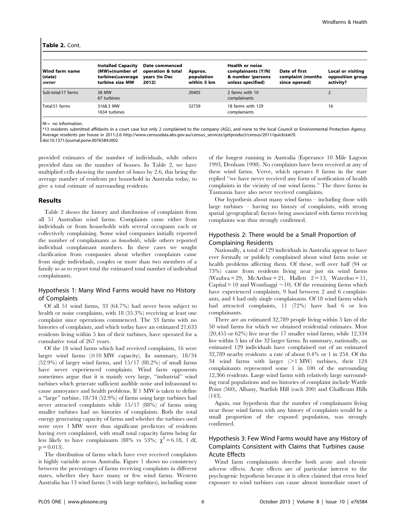#### Table 2. Cont.

| l Wind farm name<br>(state) | <b>Installed Capacity</b><br>(MW)+(number of<br>turbines)+average | Date commenced<br>operation & total<br>years (to Dec | Approx.<br>population | <b>Health or noise</b><br>complainants (Y/N)<br>& number (persons | Date of first<br>complaint (months | Local or visiting<br>opposition group |
|-----------------------------|-------------------------------------------------------------------|------------------------------------------------------|-----------------------|-------------------------------------------------------------------|------------------------------------|---------------------------------------|
| owner                       | turbine size MW                                                   | 2012)                                                | within 5 km           | unless specified)                                                 | since opened)                      | activity?                             |
| Sub-total:17 farms          | 38 MW<br>67 turbines                                              |                                                      | 20405                 | 2 farms with 10<br>complainants                                   |                                    |                                       |
| Total:51 farms              | 3168.3 MW<br>1634 turbines                                        |                                                      | 32739                 | 18 farms with 129<br>complainants                                 |                                    | 16                                    |

 $NI = no$  information.

\*13 residents submitted affidavits in a court case but only 2 complained to the company (AGL), and none to the local Council or Environmental Protection Agency. Average residents per house in 2011:2.6 http://www.censusdata.abs.gov.au/census\_services/getproduct/census/2011/quickstat/0.

doi:10.1371/journal.pone.0076584.t002

provided estimates of the number of individuals, while others provided data on the number of houses. In Table 2, we have multiplied cells showing the number of houses by 2.6, this being the average number of residents per household in Australia today, to give a total estimate of surrounding residents.

#### Results

Table 2 shows the history and distribution of complaints from all 51 Australian wind farms. Complaints came either from individuals or from households with several occupants each or collectively complaining. Some wind companies initially reported the number of complainants as households, while others reported individual complainant numbers. In these cases we sought clarification from companies about whether complaints came from single individuals, couples or more than two members of a family so as to report total the estimated total number of individual complainants.

#### Hypothesis 1: Many Wind Farms would have no History of Complaints

Of all 51 wind farms, 33 (64.7%) had never been subject to health or noise complaints, with 18 (35.3%) receiving at least one complaint since operations commenced. The 33 farms with no histories of complaints, and which today have an estimated 21,633 residents living within 5 km of their turbines, have operated for a cumulative total of 267 years.

Of the 18 wind farms which had received complaints, 16 were larger wind farms  $(\geq 10 \text{ MW}$  capacity). In summary, 18/34 (52.9%) of larger wind farms, and 15/17 (88.2%) of small farms have never experienced complaints. Wind farm opponents sometimes argue that it is mainly very large, ''industrial'' wind turbines which generate sufficient audible noise and infrasound to cause annoyance and health problems. If 1 MW is taken to define a ''large'' turbine, 18/34 (52.9%) of farms using large turbines had never attracted complaints while 15/17 (88%) of farms using smaller turbines had no histories of complaints. Both the total energy generating capacity of farms and whether the turbines used were over 1 MW were thus significant predictors of residents having ever complained, with small total capacity farms being far less likely to have complainants (88% vs 53%;  $\chi^2 = 6.18$ , 1 df,  $p = 0.013$ .

The distribution of farms which have ever received complaints is highly variable across Australia. Figure 1 shows no consistency between the percentages of farms receiving complaints in different states, whether they have many or few wind farms. Western Australia has 13 wind farms (3 with large turbines), including some

of the longest running in Australia (Esperance 10 Mile Lagoon 1993, Denham 1998). No complaints have been received at any of these wind farms. Verve, which operates 8 farms in the state replied ''we have never received any form of notification of health complaints in the vicinity of our wind farms.'' The three farms in Tasmania have also never received complaints.

Our hypothesis about many wind farms – including those with large turbines – having no history of complaints, with strong spatial (geographical) factors being associated with farms receiving complaints was thus strongly confirmed.

## Hypothesis 2: There would be a Small Proportion of Complaining Residents

Nationally, a total of 129 individuals in Australia appear to have ever formally or publicly complained about wind farm noise or health problems affecting them. Of these, well over half (94 or 73%) came from residents living near just six wind farms (Waubra = 29, McArthur = 21, Hallett  $2 = 13$ , Waterloo = 11, Capital = 10 and Wonthaggi  $\sim$  10). Of the remaining farms which have experienced complaints, 9 had between 2 and 6 complainants, and 4 had only single complainants. Of 18 wind farms which had attracted complaints, 11 (72%) have had 6 or less complainants.

There are an estimated 32,789 people living within 5 km of the 50 wind farms for which we obtained residential estimates. Most  $(20,455 \text{ or } 62\%)$  live near the 17 smaller wind farms, while 12,334 live within 5 km of the 32 larger farms. In summary, nationally, an estimated 129 individuals have complained out of an estimated 32,789 nearby residents: a rate of about 0.4% or 1 in 254. Of the 34 wind farms with larger  $(>1$  MW) turbines, their 124 complainants represented some 1 in 100 of the surrounding 12,366 residents. Large wind farms with relatively large surrounding rural populations and no histories of complaint include Wattle Point (560), Albany, Starfish Hill (each 200) and Challicum Hills (143).

Again, our hypothesis that the number of complainants living near those wind farms with any history of complaints would be a small proportion of the exposed population, was strongly confirmed.

## Hypothesis 3: Few Wind Farms would have any History of Complaints Consistent with Claims that Turbines cause Acute Effects

Wind farm complainants describe both acute and chronic adverse effects. Acute effects are of particular interest to the psychogenic hypothesis because it is often claimed that even brief exposure to wind turbines can cause almost immediate onset of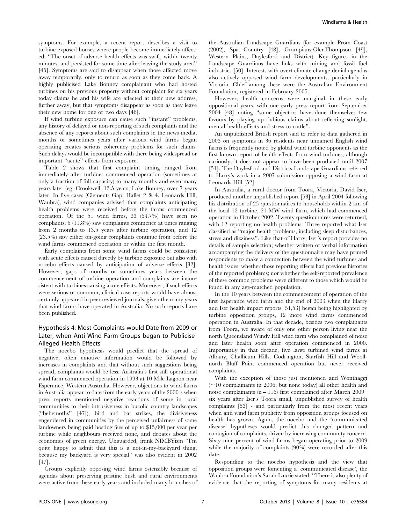symptoms. For example, a recent report describes a visit to turbine-exposed houses where people become immediately affected: ''The onset of adverse health effects was swift, within twenty minutes, and persisted for some time after leaving the study area'' [45]. Symptoms are said to disappear when those affected move away temporarily, only to return as soon as they come back. A highly publicised Lake Bonney complainant who had hosted turbines on his previous property without complaint for six years today claims he and his wife are affected at their new address, further away, but that symptoms disappear as soon as they leave their new home for one or two days [46].

If wind turbine exposure can cause such ''instant'' problems, any history of delayed or non-reporting of such complaints and the absence of any reports about such complaints in the news media, months or sometimes years after various wind farms began operating creates serious coherency problems for such claims. Such delays would be incompatible with there being widespread or important ''acute'' effects from exposure.

Table 2 shows that first complaint timing ranged from immediately after turbines commenced operation (sometimes at only a fraction of full capacity) to many months and even many years later (eg: Crookwell, 13.5 years, Lake Bonney, over 7 years later. In five cases (Clements Gap, Hallet 2 & 4, Leonards Hill, Waubra), wind companies advised that complaints anticipating health problems were received before the farms commenced operation. Of the 51 wind farms, 33 (64.7%) have seen no complaints; 6 (11.8%) saw complaints commence at times ranging from 2 months to 13.5 years after turbine operation; and 12 (23.5%) saw either on-going complaints continue from before the wind farms commenced operation or within the first month.

Early complaints from some wind farms could be consistent with acute effects caused directly by turbine exposure but also with nocebo effects caused by anticipation of adverse effects [32]. However, gaps of months or sometimes years between the commencement of turbine operation and complaints are inconsistent with turbines causing acute effects. Moreover, if such effects were serious or common, clinical case reports would have almost certainly appeared in peer reviewed journals, given the many years that wind farms have operated in Australia. No such reports have been published.

## Hypothesis 4: Most Complaints would Date from 2009 or Later, when Anti Wind Farm Groups began to Publicise Alleged Health Effects

The nocebo hypothesis would predict that the spread of negative, often emotive information would be followed by increases in complaints and that without such suggestions being spread, complaints would be less. Australia's first still operational wind farm commenced operation in 1993 at 10 Mile Lagoon near Esperance, Western Australia. However, objections to wind farms in Australia appear to date from the early years of the 2000 s when press reports mentioned negative reactions of some in rural communities to their intrusiveness in bucolic country landscapes (''behemoths'' [47]), bird and bat strikes, the divisiveness engendered in communities by the perceived unfairness of some landowners being paid hosting fees of up to \$15,000 per year per turbine while neighbours received none, and debates about the economics of green energy. Unguarded, frank NIMBYism ''I'm quite happy to admit that this is a not-in-my-backyard thing, because my backyard is very special'' was also evident in 2002 [47].

Groups explicitly opposing wind farms ostensibly because of agendas about preserving pristine bush and rural environments were active from these early years and included many branches of the Australian Landscape Guardians (for example Prom Coast (2002), Spa Country [48], Grampians-GlenThompson [49], Western Plains, Daylesford and District). Key figures in the Landscape Guardians have links with mining and fossil fuel industries [50]. Interests with overt climate change denial agendas also actively opposed wind farm developments, particularly in Victoria. Chief among these were the Australian Environment Foundation, registered in February 2005.

However, health concerns were marginal in these early oppositional years, with one early press report from September 2004 [48] noting ''some objectors have done themselves few favours by playing up dubious claims about reflecting sunlight, mental health effects and stress to cattle''.

An unpublished British report said to refer to data gathered in 2003 on symptoms in 36 residents near unnamed English wind farms is frequently noted by global wind turbine opponents as the first known report of health effects from wind turbines, although curiously, it does not appear to have been produced until 2007 [51]. The Daylesford and Districts Landscape Guardians referred to Harry's work in a 2007 submission opposing a wind farm at Leonards Hill [52].

In Australia, a rural doctor from Toora, Victoria, David Iser, produced another unpublished report [53] in April 2004 following his distribution of 25 questionnaires to households within 2 km of the local 12 turbine, 21 MW wind farm, which had commenced operation in October 2002. Twenty questionnaires were returned, with 12 reporting no health problems. Three reported what Iser classified as ''major health problems, including sleep disturbances, stress and dizziness''. Like that of Harry, Iser's report provides no details of sample selection; whether written or verbal information accompanying the delivery of the questionnaire may have primed respondents to make a connection between the wind turbines and health issues; whether those reporting effects had previous histories of the reported problems; nor whether the self-reported prevalence of these common problems were different to those which would be found in any age-matched population.

In the 10 years between the commencement of operation of the first Esperance wind farm and the end of 2003 when the Harry and Iser health impact reports [51,53] began being highlighted by turbine opposition groups, 12 more wind farms commenced operation in Australia. In that decade, besides two complainants from Toora, we aware of only one other person living near the north Queensland Windy Hill wind farm who complained of noise and later health soon after operation commenced in 2000. Importantly in that decade, five large turbined wind farms at Albany, Challicum Hills, Codrington, Starfish Hill and Woollnorth Bluff Point commenced operation but never received complaints.

With the exception of those just mentioned and Wonthaggi  $(\sim)10$  complainants in 2006, but none today) all other health and noise complainants ( $n = 116$ ) first complained after March 2009– six years after Iser's Toora small, unpublished survey of health complaints [53] - and particularly from the most recent years when anti wind farm publicity from opposition groups focused on health has grown. Again, the nocebo and the 'communicated disease' hypotheses would predict this changed pattern and contagion of complaints, driven by increasing community concern. Sixty nine percent of wind farms began operating prior to 2009 while the majority of complaints (90%) were recorded after this date.

Responding to the nocebo hypothesis and the view that opposition groups were fomenting a 'communicated disease', the Waubra Foundation's Sarah Laurie stated: ''There is also plenty of evidence that the reporting of symptoms for many residents at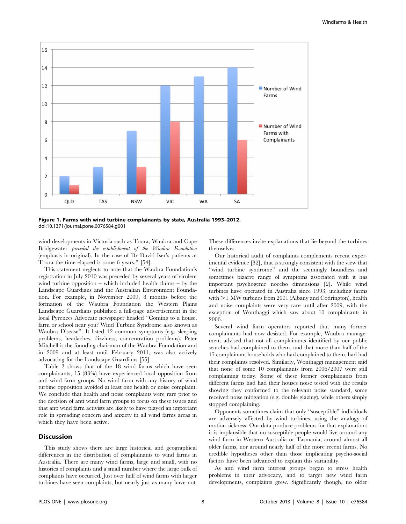

Figure 1. Farms with wind turbine complainants by state, Australia 1993–2012. doi:10.1371/journal.pone.0076584.g001

wind developments in Victoria such as Toora, Waubra and Cape Bridgewater preceded the establishment of the Waubra Foundation (emphasis in original). In the case of Dr David Iser's patients at Toora the time elapsed is some 6 years.'' [54].

This statement neglects to note that the Waubra Foundation's registration in July 2010 was preceded by several years of virulent wind turbine opposition – which included health claims – by the Landscape Guardians and the Australian Environment Foundation. For example, in November 2009, 8 months before the formation of the Waubra Foundation the Western Plains Landscape Guardians published a full-page advertisement in the local Pyrenees Advocate newspaper headed ''Coming to a house, farm or school near you? Wind Turbine Syndrome also known as Waubra Disease''. It listed 12 common symptoms (e.g. sleeping problems, headaches, dizziness, concentration problems). Peter Mitchell is the founding chairman of the Waubra Foundation and in 2009 and at least until February 2011, was also actively advocating for the Landscape Guardians [55].

Table 2 shows that of the 18 wind farms which have seen complainants, 15 (83%) have experienced local opposition from anti wind farm groups. No wind farm with any history of wind turbine opposition avoided at least one health or noise complaint. We conclude that health and noise complaints were rare prior to the decision of anti wind farm groups to focus on these issues and that anti wind farm activists are likely to have played an important role in spreading concern and anxiety in all wind farms areas in which they have been active.

#### Discussion

This study shows there are large historical and geographical differences in the distribution of complainants to wind farms in Australia. There are many wind farms, large and small, with no histories of complaints and a small number where the large bulk of complaints have occurred. Just over half of wind farms with larger turbines have seen complaints, but nearly just as many have not. These differences invite explanations that lie beyond the turbines themselves.

Our historical audit of complaints complements recent experimental evidence [32], that is strongly consistent with the view that ''wind turbine syndrome'' and the seemingly boundless and sometimes bizarre range of symptoms associated with it has important psychogenic nocebo dimensions [2]. While wind turbines have operated in Australia since 1993, including farms with  $>1$  MW turbines from 2001 (Albany and Codrington), health and noise complaints were very rare until after 2009, with the exception of Wonthaggi which saw about 10 complainants in 2006.

Several wind farm operators reported that many former complainants had now desisted. For example, Waubra management advised that not all complainants identified by our public searches had complained to them, and that more than half of the 17 complainant households who had complained to them, had had their complaints resolved. Similarly, Wonthaggi management said that none of some 10 complainants from 2006/2007 were still complaining today. Some of these former complainants from different farms had had their houses noise tested with the results showing they conformed to the relevant noise standard, some received noise mitigation (e.g. double glazing), while others simply stopped complaining.

Opponents sometimes claim that only ''susceptible'' individuals are adversely affected by wind turbines, using the analogy of motion sickness. Our data produce problems for that explanation: it is implausible that no susceptible people would live around any wind farm in Western Australia or Tasmania, around almost all older farms, nor around nearly half of the more recent farms. No credible hypotheses other than those implicating psycho-social factors have been advanced to explain this variability.

As anti wind farm interest groups began to stress health problems in their advocacy, and to target new wind farm developments, complaints grew. Significantly though, no older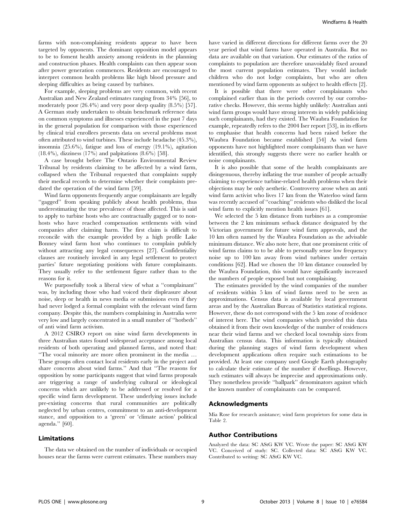farms with non-complaining residents appear to have been targeted by opponents. The dominant opposition model appears to be to foment health anxiety among residents in the planning and construction phases. Health complaints can then appear soon after power generation commences. Residents are encouraged to interpret common health problems like high blood pressure and sleeping difficulties as being caused by turbines.

For example, sleeping problems are very common, with recent Australian and New Zealand estimates ranging from 34% [56], to moderately poor (26.4%) and very poor sleep quality (8.5%) [57]. A German study undertaken to obtain benchmark reference data on common symptoms and illnesses experienced in the past 7 days in the general population for comparison with those experienced by clinical trial enrollees presents data on several problems most often attributed to wind turbines. These include headache (45.3%), insomnia (25.6%), fatigue and loss of energy (19.1%), agitation (18.4%), dizziness (17%) and palpitations (8.6%) [58].

A case brought before The Ontario Environmental Review Tribunal by residents claiming to be affected by a wind farm, collapsed when the Tribunal requested that complaints supply their medical records to determine whether their complaints predated the operation of the wind farm [59].

Wind farm opponents frequently argue complainants are legally "gagged" from speaking publicly about health problems, thus underestimating the true prevalence of those affected. This is said to apply to turbine hosts who are contractually gagged or to nonhosts who have reached compensation settlements with wind companies after claiming harm. The first claim is difficult to reconcile with the example provided by a high profile Lake Bonney wind farm host who continues to complain publicly without attracting any legal consequences [27]. Confidentiality clauses are routinely invoked in any legal settlement to protect parties' future negotiating positions with future complainants. They usually refer to the settlement figure rather than to the reasons for it.

We purposefully took a liberal view of what a ''complainant'' was, by including those who had voiced their displeasure about noise, sleep or health in news media or submissions even if they had never lodged a formal complaint with the relevant wind farm company. Despite this, the numbers complaining in Australia were very low and largely concentrated in a small number of ''hotbeds'' of anti wind farm activism.

A 2012 CSIRO report on nine wind farm developments in three Australian states found widespread acceptance among local residents of both operating and planned farms, and noted that: ''The vocal minority are more often prominent in the media … These groups often contact local residents early in the project and share concerns about wind farms.'' And that ''The reasons for opposition by some participants suggest that wind farms proposals are triggering a range of underlying cultural or ideological concerns which are unlikely to be addressed or resolved for a specific wind farm development. These underlying issues include pre-existing concerns that rural communities are politically neglected by urban centres, commitment to an anti-development stance, and opposition to a 'green' or 'climate action' political agenda.'' [60].

### Limitations

The data we obtained on the number of individuals or occupied houses near the farms were current estimates. These numbers may have varied in different directions for different farms over the 20 year period that wind farms have operated in Australia. But no data are available on that variation. Our estimates of the ratios of complaints to population are therefore unavoidably fixed around the most current population estimates. They would include children who do not lodge complaints, but who are often mentioned by wind farm opponents as subject to health effects [2].

It is possible that there were other complainants who complained earlier than in the periods covered by our corroborative checks. However, this seems highly unlikely: Australian anti wind farm groups would have strong interests in widely publicising such complainants, had they existed. The Waubra Foundation for example, repeatedly refers to the 2004 Iser report [53], in its efforts to emphasise that health concerns had been raised before the Waubra Foundation became established [54] As wind farm opponents have not highlighted more complainants than we have identified, this strongly suggests there were no earlier health or noise complainants.

It is also possible that some of the health complainants are disingenuous, thereby inflating the true number of people actually claiming to experience turbine-related health problems when their objections may be only aesthetic. Controversy arose when an anti wind farm activist who lives 17 km from the Waterloo wind farm was recently accused of ''coaching'' residents who disliked the local wind farm to explicitly mention health issues [61].

We selected the 5 km distance from turbines as a compromise between the 2 km minimum setback distance designated by the Victorian government for future wind farm approvals, and the 10 km often named by the Waubra Foundation as the advisable minimum distance. We also note here, that one prominent critic of wind farms claims to to be able to personally sense low frequency noise up to 100 km away from wind turbines under certain conditions [62]. Had we chosen the 10 km distance counseled by the Waubra Foundation, this would have significantly increased the numbers of people exposed but not complaining.

The estimates provided by the wind companies of the number of residents within 5 km of wind farms need to be seen as approximations. Census data is available by local government areas and by the Australian Bureau of Statistics statistical regions. However, these do not correspond with the 5 km zone of residence of interest here. The wind companies which provided this data obtained it from their own knowledge of the number of residences near their wind farms and we checked local township sizes from Australian census data. This information is typically obtained during the planning stages of wind farm development when development applications often require such estimations to be provided. At least one company used Google Earth photography to calculate their estimate of the number if dwellings. However, such estimates will always be imprecise and approximations only. They nonetheless provide ''ballpark'' denominators against which the known number of complainants can be compared.

#### Acknowledgments

Mia Rose for research assistance; wind farm proprietors for some data in Table 2.

#### Author Contributions

Analyzed the data: SC AStG KW VC. Wrote the paper: SC AStG KW VC. Conceived of study: SC. Collected data: SC AStG KW VC. Contributed to writing: SC AStG KW VC.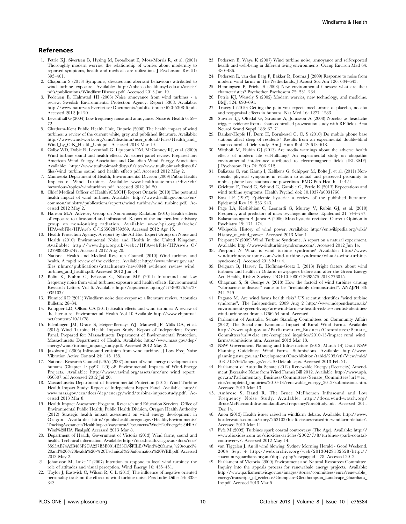#### References

- 1. Petrie KJ, Sivertsen B, Hysing M, Broadbent E, Moss-Morris R, et al. (2001) Thoroughly modern worries: the relationship of worries about modernity to reported symptoms, health and medical care utilization. J Psychosom Res 51: 395–401.
- 2. Chapman S (2013) Symptoms, diseases and aberrant behaviours attributed to wind turbine exposure. Available: http://tobacco.health.usyd.edu.au/assets/ pdfs/publications/WindfarmDiseases.pdf. Accessed 2013 Jun 19.
- 3. Pedersen E, Halmstad HI (2003) Noise annoyance from wind turbines a review. Swedish Environmental Protection Agency. Report 5308. Available: http://www.naturvardsverket.se/Documents/publikationer/620-5308-6.pdf. Accessed 2012 Jul 20.
- 4. Leventhall G (2004) Low frequency noise and annoyance. Noise & Health 6: 59– 72.
- 5. Chatham-Kent Public Health Unit, Ontario (2008) The health impact of wind turbines: a review of the current white, grey and published literature. Available: http://www.wind-works.org/cms/fileadmin/user\_upload/Files/Health\_and\_ Wind\_by\_C-K\_Health\_Unit.pdf. Accessed 2013 Mar 19.
- 6. Colby WD, Dobie R, Leventhall G, Lipscomb DM, McCunney RJ, et al. (2009) Wind turbine sound and health effects. An expert panel review. Prepared for: American Wind Energy Association and Canadian Wind Energy Association Available: http://www.tuulivoimayhdistys.fi/sites/www.tuulivoimayhdistys.fi/ files/wind\_turbine\_sound\_and\_health\_effects.pdf. Accessed 2012 May 2.
- 7. Minnesota Department of Health, Environmental Division (2009) Public Health Impacts of Wind Turbines. Available: www.health.state.mn.us/divs/eh/ hazardous/topics/windturbines.pdf. Accessed 2012 Jul 20.
- 8. Chief Medical Officer of Health (CMOH) Report Ontario (2010) The potential health impact of wind turbines. Available: http://www.health.gov.on.ca/en/ common/ministry/publications/reports/wind\_turbine/wind\_turbine.pdf. Accessed 2012 May 2.
- 9. Hanson M.A. Advisory Group on Non-inoising Radation (2010) Health effects of exposure to ultrasound and infrasound. Report of the independent advisory group on non-ionising radiation. Available: www.hpa.org.uk/webc/ HPAwebFile/HPAweb\_C/1265028759369. Accessed 2012 Apr 15.
- 10. Health Protection Agency. A report by the Ad Hoc Expert Group on Noise and Health (2010) Environmental Noise and Health in the United Kingdom. Available: http://www.hpa.org.uk/webc/HPAwebFile/HPAweb\_C/ 1279888026747. Accessed 2012 Aug 20.
- 11. National Health and Medical Research Council (2010) Wind turbines and health. A rapid review of the evidence. Available: http://www.nhmrc.gov.au/\_ files\_nhmrc/publications/attachments/new0048\_evidence\_review\_wind\_ turbines\_and\_health.pdf. Accessed 2012 Jun 14.
- 12. Bolin K, Bluhm G, Eriksson G, Nilsson ME (2011) Infrasound and low frequency noise from wind turbines: exposure and health effects. Environmental Research Letters Vol 6. Available http://iopscience.iop.org/1748-9326/6/3/ 035103/.
- 13. Fiumicelli D (2011) Windfarm noise dose-response: a literature review. Acoustics Bulletin: 26–34.
- 14. Knopper LD, Ollson CA (2011) Health effects and wind turbines: A review of the literature. Environmental Health Vol 10.Available http://www.ehjournal. net/content/10/1/78.
- 15. Ellenbogen JM, Grace S, Heiger-Bernays WJ, Manwell JF, Mills DA, et al. (2012) Wind Turbine Health Impact Study. Report of Independent Expert Panel. Prepared for: Massachusetts Department of Environmental Protection. Massachusetts Department of Health. Available: http://www.mass.gov/dep/ energy/wind/turbine\_impact\_study.pdf. Accessed 2012 May 2.
- 16. Jakobsen J (2005) Infrasound emission from wind turbines. J Low Freq Noise Vibration Active Control 24: 145–155.
- 17. National Research Council (USA) (2007) Impact of wind energy development on humans (Chapter 4: pp97–120) of: Environmental Impacts of Wind-Energy Projects. Available: http://www.vawind.org/assets/nrc/nrc\_wind\_report\_ 050307.pdf Accessed 2012 Jul 20.
- 18. Massachusetts Department of Environmental Protection (2012) Wind Turbine Health Impact Study: Report of Independent Expert Panel. Available: http:// www.mass.gov/eea/docs/dep/energy/wind/turbine-impact-study.pdf. Accessed 2013 Mar 8.
- 19. Health Impact Assessment Program, Research and Education Services, Office of Environmental Public Health, Public Health Division, Oregon Health Authority (2012) Strategic health impact assessment on wind energy development in Oregon. Available: http://public.health.oregon.gov/HealthyEnvironments/ TrackingAssessment/HealthImpactAssessment/Documents/Wnd%20Energy%20HIA/ Wind%20HIA\_Final.pdf. Accessed 2013 Mar 8.
- 20. Department of Health, Government of Victoria (2013) Wind farms, sound and health. Technical information. Available: http://docs.health.vic.gov.au/docs/doc/ 5593AE74A5B486F2CA257B5E0014E33C/\$FILE/Wind%20farms,%20sound% 20and%20%20health%20-%20Technical%20information%20WEB.pdf. Accessed 2013 May 2.
- 21. Johansson M, Laike T (2007) Intention to respond to local wind turbines: the role of attitudes and visual perception. Wind Energy 10: 435–451.
- 22. Taylor J, Eastwick C, Wilson R, C L (2013) The influence of negative oriented personality traits on the effrect of wind turbine noise. Pers Indiv Differ 54: 338– 343.
- 23. Pedersen E, Waye K (2007) Wind turbine noise, annoyance and self-reported health and well-being in different living environments. Occup Environ Med 64: 480–486.
- 24. Pedersen E, van den Berg F, Bakker R, Bouma J (2009) Response to noise from modern wind farms in The Netherlands. J Acoust Soc Am 126: 634–643.
- 25. Henningsen P, Priebe S (2003) New environmental illnesses: what are their characteristics? Psychother Psychosom 72: 231–234.
- 26. Petrie KJ, Wessely S (2002) Modern worries, new technology, and medicine. BMJ, 324: 690–691.
- 27. Tracey I (2010) Getting the pain you expect: mechanisms of placebo, nocebo and reappraisal effects in humans. Nat Med 16: 1277–1283.
- 28. Stovner LJ, Oftedal G, Straume A, Johnsson A (2008) Nocebo as headache trigger: evidence from a sham-controlled provocation study with RF fields. Acta Neurol Scand Suppl 188: 67–71.
- 29. Danker-Hopfe H, Dorn H, Bornkessel C, C. S (2010) Do mobile phone base stations affect sleep of residents? Results from an experimental double-blind sham-controlled field study. Am J Hum Biol 22: 613–618.
- 30. Witthoft M, Rubin GJ (2013) Are media warnings about the adverse health effects of modern life self-fulfilling? An experimental study on idiopathic environmental intolerance attributed to electromagnetic fields (IEI-EMF). J Psychosom Res 74: 206–212.
- 31. Baliatsas C, van Kamp I, Kelfkens G, Schipper M, Bolte J, et al. (2011) Nonspecific physical symptoms in relation to actual and perceived proximity to mobile phone base stations and powerlines. BMC Pub Health 11: 421.
- 32. Crichton F, Dodd G, Schmid G, Gamble G, Petrie K (2013) Expectations and wind turbine symptoms. Health Psychol doi: 10.1037/a0031760.
- 33. Boss LP (1997) Epidemic hysteria: a review of the published literature. Epidemiol Rev 19: 233–243.
- 34. Page LA, Keshishian C, Leonardi G, Murray V, Rubin GJ, et al. (2010) Frequency and predictors of mass psychogenic illness. Epidemiol 21: 744–747.
- 35. Balaratnasingam S, Janca A (2006) Mass hysteria revisited. Current Opinion in Psychiatry 19: 171–174.
- 36. Wikipedia History of wind power. Available: http://en.wikipedia.org/wiki/ History of wind power. Accessed 2013 Mar 4.
- 37. Pierpont N (2009) Wind Turbine Syndrome. A report on a natural experiment.
- Available: http://www.windturbinesyndrome.com/. Accessed 2012 Jun 14. 38. Pierpont N What is wind turbine syndrome? Available: http://www. windturbinesyndrome.com/wind-turbine-syndrome/what-is-wind-turbinesyndrome/]. Accessed 2013 Mar 4.
- 39. Deignan B, Harvey E, Hoffman-Goetz L (2013) Fright factors about wind turbines and health in Ontario newspapers before and after the Green Energy Act. Health, Risk & Society. DOI:10.1080/13698575.2013.776015.
- 40. Chapman S, St George A (2013) How the factoid of wind turbines causing "vibroacoustic disease" came to be "irrefutably demonstrated". ANZJPH 33: 244–249.
- 41. Pagano M. Are wind farms health risks? US scientist identifies "wind turbine syndrome". The Independent. 2009 Aug 2 http://www.independent.co.uk/ environment/green-living/are-wind-farms-a-health-risk-us-scientist-identifieswind-turbine-syndrome-1766254.html. Accessed.
- 42. Parliament of Australia, Senate Standing Committees on Community Affairs (2012) The Social and Economic Impact of Rural Wind Farms. Available: http://www.aph.gov.au/Parliamentary\_Business/Committees/Senate\_ Committees?url = clac\_ctte/completed\_inquiries/2010-13/impact\_rural\_wind\_ farms/submissions.htm. Accessed 2013 Mar 13.
- 43. NSW Government Planning and Infrastructure (2012; March 14) Draft NSW Planning Guidelines: Wind Farms. Submissions. Available: http://www. planning.nsw.gov.au/Development/Onexhibition/tabid/205/ctl/View/mid/ 1081/ID/66/language/en-US/Default.aspx. Accessed 2013 Feb 21.
- 44. Parliament of Australia Senate (2012) Renewable Energy (Electricity) Amendment (Excessive Noise from Wind Farms) Bill 2012. Available: http://www.aph. gov.au/Parliamentary\_Business/Committees/Senate\_Committees?url = ec\_ ctte/completed\_inquiries/2010-13/renewable\_energy\_2012/submissions.htm. Accessed 2013 Mar 13.
- 45. Ambrose S, Rand R. The Bruce McPherson Infrasound and Low Frequency Noise Study. Available: http://docs.wind-watch.org/ BruceMcPhersonInfrasoundandLowFrequencyNoiseStudy.pdf. Accessed 2011 Dec 14.
- 46. Anon (2013) Health issues raised in windfarm debate. Available: http://www. borderwatch.com.au/story/262103/health-issues-raised-in-windfarm-debate/. Accessed 2013 Mar 11.
- 47. Fyfe M (2002) Turbines spark coastal controversy (The Age). Available: http:// www.dioxides.com.au/dioxides-articles/2002/7/8/turbines-spark-coastalcontroversy/. Accessed 2012 May 14.
- 48. van Tiggelen J. An ill wind blowing. Sydney Morning Herald Good Weekend. 2004 Sept 4 http://web.archive.org/web/20130429182528/http:// spacountryguardians.org.au/display.php?newpageid = 78. Accessed 2012.
- 49. Parliament of Victoria (2009) Environment and Natural Resources Committee. Inquiry into the appeals process for renewabale energy projects. Available: http://www.parliament.vic.gov.au/images/stories/committees/enrc/renewable\_ energy/transcripts\_of\_evidence/Grampians-Glenthompson\_Landscape\_Guardians\_ Inc.pdf. Accessed 2013 Mar 5.